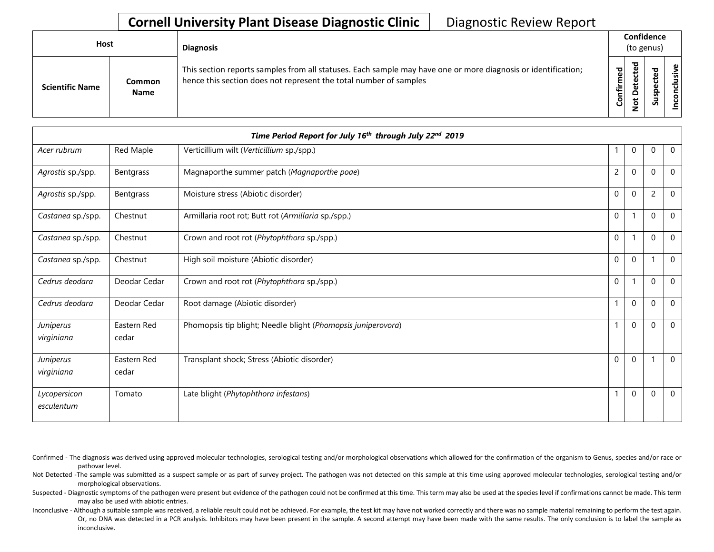| <b>Host</b>            |                              | <b>Diagnosis</b>                                                                                                                                                                   |                   | Confidence<br>(to genus) |                  |                     |
|------------------------|------------------------------|------------------------------------------------------------------------------------------------------------------------------------------------------------------------------------|-------------------|--------------------------|------------------|---------------------|
| <b>Scientific Name</b> | <b>Common</b><br><b>Name</b> | This section reports samples from all statuses. Each sample may have one or more diagnosis or identification;<br>hence this section does not represent the total number of samples | ರ<br>ω<br>Confirm | ಕ<br>ω<br>ັ<br>ω         | ௨<br>s<br>-<br>S | ഄ<br><u>'ল</u><br>S |

|                            | Time Period Report for July 16th through July 22nd 2019 |                                                              |                |             |          |             |  |
|----------------------------|---------------------------------------------------------|--------------------------------------------------------------|----------------|-------------|----------|-------------|--|
| Acer rubrum                | Red Maple                                               | Verticillium wilt (Verticillium sp./spp.)                    |                | 0           | 0        | $\mathbf 0$ |  |
| Agrostis sp./spp.          | Bentgrass                                               | Magnaporthe summer patch (Magnaporthe poae)                  | $\overline{c}$ | $\mathbf 0$ | $\Omega$ | $\mathbf 0$ |  |
| Agrostis sp./spp.          | Bentgrass                                               | Moisture stress (Abiotic disorder)                           | 0              | $\mathbf 0$ | 2        | $\mathbf 0$ |  |
| Castanea sp./spp.          | Chestnut                                                | Armillaria root rot; Butt rot (Armillaria sp./spp.)          | $\mathbf 0$    |             | $\Omega$ | $\mathbf 0$ |  |
| Castanea sp./spp.          | Chestnut                                                | Crown and root rot (Phytophthora sp./spp.)                   | $\mathbf 0$    |             | $\Omega$ | $\mathbf 0$ |  |
| Castanea sp./spp.          | Chestnut                                                | High soil moisture (Abiotic disorder)                        | $\mathbf 0$    | $\mathbf 0$ |          | $\mathbf 0$ |  |
| Cedrus deodara             | Deodar Cedar                                            | Crown and root rot (Phytophthora sp./spp.)                   | $\mathbf 0$    |             | $\Omega$ | $\mathbf 0$ |  |
| Cedrus deodara             | Deodar Cedar                                            | Root damage (Abiotic disorder)                               |                | $\mathbf 0$ | $\Omega$ | $\mathbf 0$ |  |
| Juniperus<br>virginiana    | Eastern Red<br>cedar                                    | Phomopsis tip blight; Needle blight (Phomopsis juniperovora) |                | $\mathbf 0$ | $\Omega$ | $\mathbf 0$ |  |
| Juniperus<br>virginiana    | Eastern Red<br>cedar                                    | Transplant shock; Stress (Abiotic disorder)                  | $\Omega$       | $\mathbf 0$ |          | $\mathbf 0$ |  |
| Lycopersicon<br>esculentum | Tomato                                                  | Late blight (Phytophthora infestans)                         |                | $\Omega$    | $\Omega$ | $\mathbf 0$ |  |

Confirmed - The diagnosis was derived using approved molecular technologies, serological testing and/or morphological observations which allowed for the confirmation of the organism to Genus, species and/or race or pathovar level.

Not Detected -The sample was submitted as a suspect sample or as part of survey project. The pathogen was not detected on this sample at this time using approved molecular technologies, serological testing and/or morphological observations.

Suspected - Diagnostic symptoms of the pathogen were present but evidence of the pathogen could not be confirmed at this time. This term may also be used at the species level if confirmations cannot be made. This term may also be used with abiotic entries.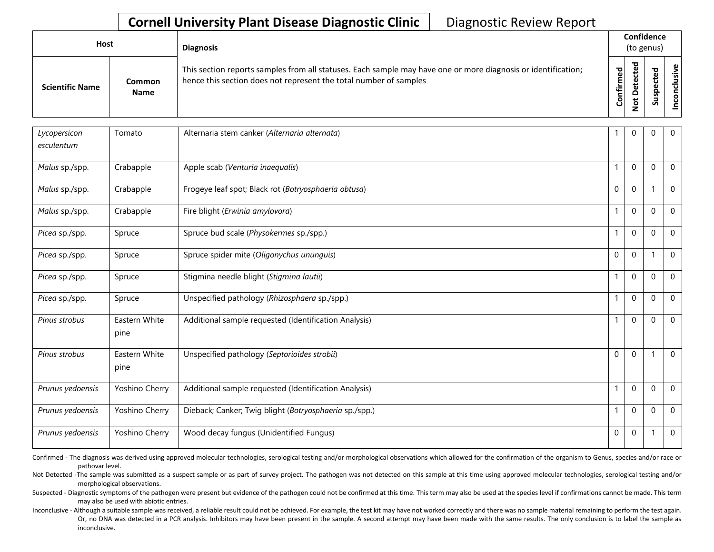| Host<br><b>Diagnosis</b> |                       |                                                                                                                                                                                    |           | Confidence<br>(to genus)   |   |         |
|--------------------------|-----------------------|------------------------------------------------------------------------------------------------------------------------------------------------------------------------------------|-----------|----------------------------|---|---------|
| <b>Scientific Name</b>   | Common<br><b>Name</b> | This section reports samples from all statuses. Each sample may have one or more diagnosis or identification;<br>hence this section does not represent the total number of samples | Confirmed | ᇴ<br>ں<br>Φ<br>≏<br>پ<br>– | S | ω<br>'ল |

| Lycopersicon<br>esculentum | Tomato                | Alternaria stem canker (Alternaria alternata)          |                | $\mathbf 0$      | 0           | $\mathbf 0$    |
|----------------------------|-----------------------|--------------------------------------------------------|----------------|------------------|-------------|----------------|
| Malus sp./spp.             | Crabapple             | Apple scab (Venturia inaequalis)                       |                | $\mathbf 0$      | $\Omega$    | $\mathbf 0$    |
| Malus sp./spp.             | Crabapple             | Frogeye leaf spot; Black rot (Botryosphaeria obtusa)   | $\mathbf 0$    | $\boldsymbol{0}$ |             | $\mathbf{0}$   |
| Malus sp./spp.             | Crabapple             | Fire blight (Erwinia amylovora)                        | $\overline{1}$ | $\mathbf 0$      | $\mathbf 0$ | $\mathbf 0$    |
| Picea sp./spp.             | Spruce                | Spruce bud scale (Physokermes sp./spp.)                | 1              | $\mathbf 0$      | $\Omega$    | $\mathbf 0$    |
| Picea sp./spp.             | Spruce                | Spruce spider mite (Oligonychus ununguis)              | $\mathbf 0$    | $\mathbf 0$      |             | $\mathbf 0$    |
| Picea sp./spp.             | Spruce                | Stigmina needle blight (Stigmina lautii)               |                | $\mathbf 0$      | $\Omega$    | $\mathbf 0$    |
| Picea sp./spp.             | Spruce                | Unspecified pathology (Rhizosphaera sp./spp.)          | $\overline{1}$ | $\mathbf 0$      | $\mathbf 0$ | $\mathbf 0$    |
| Pinus strobus              | Eastern White<br>pine | Additional sample requested (Identification Analysis)  |                | $\mathbf 0$      | 0           | 0              |
| Pinus strobus              | Eastern White<br>pine | Unspecified pathology (Septorioides strobii)           | $\mathbf 0$    | $\mathbf 0$      |             | $\overline{0}$ |
| Prunus yedoensis           | Yoshino Cherry        | Additional sample requested (Identification Analysis)  | $\mathbf{1}$   | $\mathbf 0$      | $\Omega$    | $\mathbf 0$    |
| Prunus yedoensis           | Yoshino Cherry        | Dieback; Canker; Twig blight (Botryosphaeria sp./spp.) | 1              | $\mathbf 0$      | 0           | $\mathbf 0$    |
| Prunus yedoensis           | Yoshino Cherry        | Wood decay fungus (Unidentified Fungus)                | 0              | $\mathbf 0$      | 1           | $\mathbf 0$    |

Confirmed - The diagnosis was derived using approved molecular technologies, serological testing and/or morphological observations which allowed for the confirmation of the organism to Genus, species and/or race or pathovar level.

Not Detected -The sample was submitted as a suspect sample or as part of survey project. The pathogen was not detected on this sample at this time using approved molecular technologies, serological testing and/or morphological observations.

Suspected - Diagnostic symptoms of the pathogen were present but evidence of the pathogen could not be confirmed at this time. This term may also be used at the species level if confirmations cannot be made. This term may also be used with abiotic entries.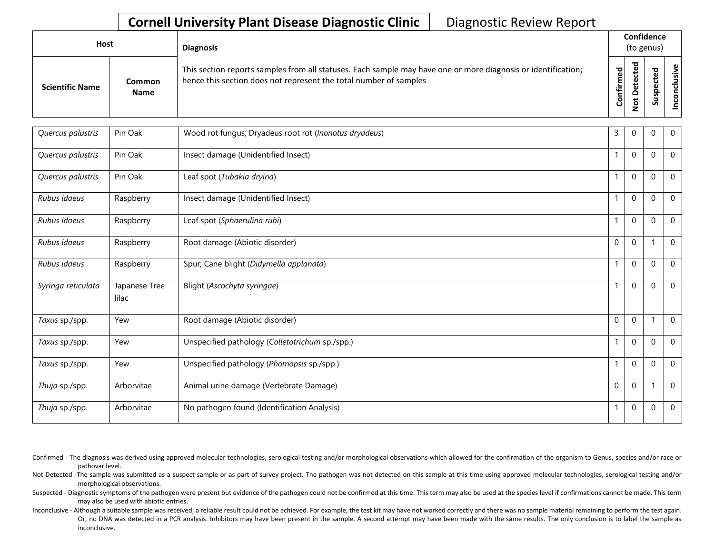| <b>Host</b>            |                       | <b>Diagnosis</b>                                                                                                                                                                   |                                  |                          | Confidence<br>(to genus) |                    |
|------------------------|-----------------------|------------------------------------------------------------------------------------------------------------------------------------------------------------------------------------|----------------------------------|--------------------------|--------------------------|--------------------|
| <b>Scientific Name</b> | Common<br><b>Name</b> | This section reports samples from all statuses. Each sample may have one or more diagnosis or identification;<br>hence this section does not represent the total number of samples | ਠ<br>$\mathbf \omega$<br>Confirm | ਠ<br>$\Omega$<br>سه<br>– | ω<br>ω<br>요<br>š<br>S    | $\mathbf{g}$<br>'ল |

| Quercus palustris  | Pin Oak                | Wood rot fungus; Dryadeus root rot (Inonotus dryadeus) | 3            | 0            | $\Omega$    | $\Omega$       |
|--------------------|------------------------|--------------------------------------------------------|--------------|--------------|-------------|----------------|
| Quercus palustris  | Pin Oak                | Insect damage (Unidentified Insect)                    | $\mathbf{1}$ | $\mathbf{0}$ | $\Omega$    | $\Omega$       |
| Quercus palustris  | Pin Oak                | Leaf spot (Tubakia dryina)                             | $\mathbf{1}$ | $\mathbf{0}$ | $\Omega$    | $\Omega$       |
| Rubus idaeus       | Raspberry              | Insect damage (Unidentified Insect)                    | $\mathbf{1}$ | $\mathbf{0}$ | $\Omega$    | $\mathbf{0}$   |
| Rubus idaeus       | Raspberry              | Leaf spot (Sphaerulina rubi)                           | $\mathbf{1}$ | $\mathbf{0}$ | $\Omega$    | $\mathbf{0}$   |
| Rubus idaeus       | Raspberry              | Root damage (Abiotic disorder)                         | 0            | $\mathbf 0$  | -1          | $\mathbf 0$    |
| Rubus idaeus       | Raspberry              | Spur; Cane blight (Didymella applanata)                | $\mathbf{1}$ | $\mathbf{0}$ | $\Omega$    | $\mathbf{0}$   |
| Syringa reticulata | Japanese Tree<br>lilac | Blight (Ascochyta syringae)                            | $\mathbf{1}$ | $\mathbf 0$  | $\mathbf 0$ | $\overline{0}$ |
| Taxus sp./spp.     | Yew                    | Root damage (Abiotic disorder)                         | $\Omega$     | $\mathbf{0}$ |             | $\mathbf{0}$   |
| Taxus sp./spp.     | Yew                    | Unspecified pathology (Colletotrichum sp./spp.)        | $\mathbf{1}$ | $\mathbf 0$  | $\Omega$    | $\mathbf{0}$   |
| Taxus sp./spp.     | Yew                    | Unspecified pathology (Phomopsis sp./spp.)             | $\mathbf{1}$ | $\mathbf{0}$ | $\Omega$    | $\Omega$       |
| Thuja sp./spp.     | Arborvitae             | Animal urine damage (Vertebrate Damage)                | 0            | $\Omega$     |             | $\mathbf 0$    |
| Thuja sp./spp.     | Arborvitae             | No pathogen found (Identification Analysis)            | $\mathbf{1}$ | $\mathbf 0$  | $\mathbf 0$ | $\mathbf 0$    |

Confirmed - The diagnosis was derived using approved molecular technologies, serological testing and/or morphological observations which allowed for the confirmation of the organism to Genus, species and/or race or pathovar level.

Not Detected -The sample was submitted as a suspect sample or as part of survey project. The pathogen was not detected on this sample at this time using approved molecular technologies, serological testing and/or morphological observations.

Suspected - Diagnostic symptoms of the pathogen were present but evidence of the pathogen could not be confirmed at this time. This term may also be used at the species level if confirmations cannot be made. This term may also be used with abiotic entries.